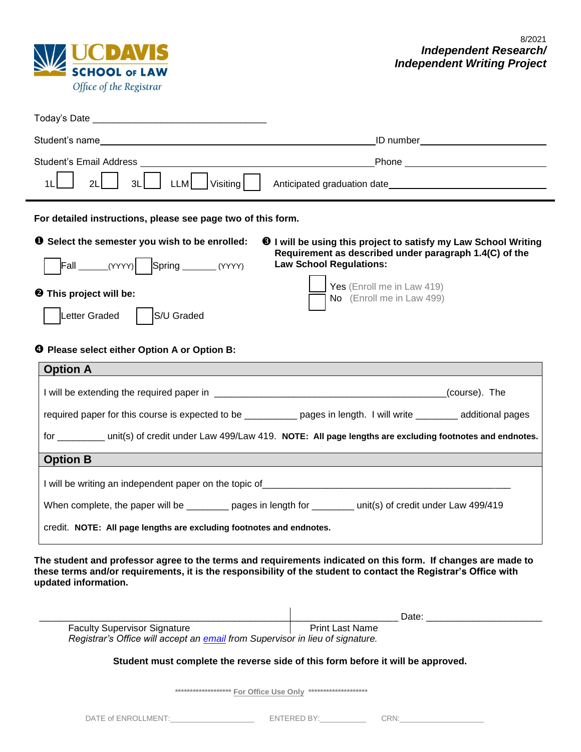

| Student's Email Address                                                                                                                                                                                                                                 |                                                                                                                                                                                                                               |  |
|---------------------------------------------------------------------------------------------------------------------------------------------------------------------------------------------------------------------------------------------------------|-------------------------------------------------------------------------------------------------------------------------------------------------------------------------------------------------------------------------------|--|
| LLM<br>1 <sub>L</sub><br>Visiting<br>3L<br>21                                                                                                                                                                                                           |                                                                                                                                                                                                                               |  |
| For detailed instructions, please see page two of this form.                                                                                                                                                                                            |                                                                                                                                                                                                                               |  |
| <b>O</b> Select the semester you wish to be enrolled:<br>$\text{Fall } \_\_\_\_\_\_ (YYYY)$ Spring $\_\_\_\_\_\_\_ (YYYY)$<br><b>@</b> This project will be:<br>Letter Graded<br>S/U Graded                                                             | <b>O</b> I will be using this project to satisfy my Law School Writing<br>Requirement as described under paragraph 1.4(C) of the<br><b>Law School Regulations:</b><br>Yes (Enroll me in Law 419)<br>No (Enroll me in Law 499) |  |
| <b>4</b> Please select either Option A or Option B:                                                                                                                                                                                                     |                                                                                                                                                                                                                               |  |
| <b>Option A</b>                                                                                                                                                                                                                                         |                                                                                                                                                                                                                               |  |
|                                                                                                                                                                                                                                                         |                                                                                                                                                                                                                               |  |
| required paper for this course is expected to be __________ pages in length. I will write _______ additional pages                                                                                                                                      |                                                                                                                                                                                                                               |  |
|                                                                                                                                                                                                                                                         | for _________ unit(s) of credit under Law 499/Law 419. NOTE: All page lengths are excluding footnotes and endnotes.                                                                                                           |  |
| <b>Option B</b>                                                                                                                                                                                                                                         |                                                                                                                                                                                                                               |  |
|                                                                                                                                                                                                                                                         |                                                                                                                                                                                                                               |  |
| When complete, the paper will be ________ pages in length for _______ unit(s) of credit under Law 499/419                                                                                                                                               |                                                                                                                                                                                                                               |  |
| credit. NOTE: All page lengths are excluding footnotes and endnotes.                                                                                                                                                                                    |                                                                                                                                                                                                                               |  |
| The student and professor agree to the terms and requirements indicated on this form. If changes are made to<br>these terms and/or requirements, it is the responsibility of the student to contact the Registrar's Office with<br>updated information. |                                                                                                                                                                                                                               |  |
|                                                                                                                                                                                                                                                         |                                                                                                                                                                                                                               |  |
| <b>Faculty Supervisor Signature</b><br>Registrar's Office will accept an <i>email</i> from Supervisor in lieu of signature.                                                                                                                             | <b>Print Last Name</b>                                                                                                                                                                                                        |  |
|                                                                                                                                                                                                                                                         | Student must complete the reverse side of this form before it will be approved.                                                                                                                                               |  |

 **\*\*\*\*\*\*\*\*\*\*\*\*\*\*\*\*\*\*\* For Office Use Only \*\*\*\*\*\*\*\*\*\*\*\*\*\*\*\*\*\*\*\***

| ÷ | an i | . . |  |
|---|------|-----|--|
|   | v    |     |  |
|   | __   |     |  |